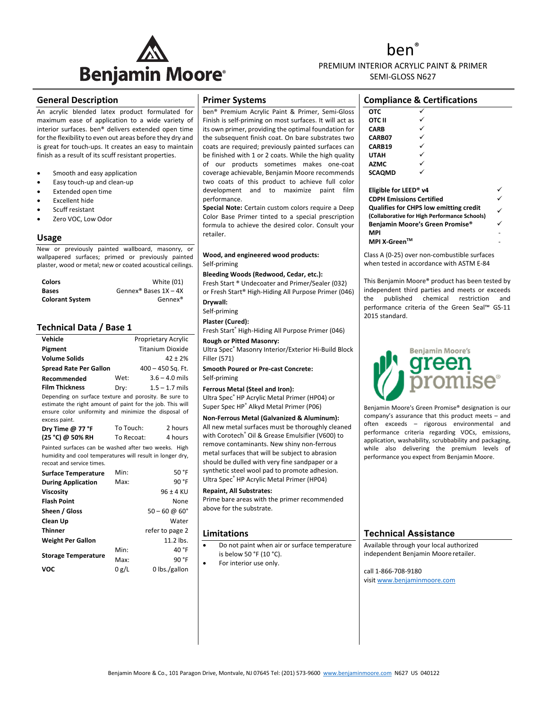

hen` PREMIUM INTERIOR ACRYLIC PAINT & PRIMER SEMI-GLOSS N627

#### **General Description**

An acrylic blended latex product formulated for maximum ease of application to a wide variety of interior surfaces. ben® delivers extended open time for the flexibility to even out areas before they dry and is great for touch‐ups. It creates an easy to maintain finish as a result of its scuff resistant properties.

- Smooth and easy application
- Easy touch‐up and clean‐up
- Extended open time
- Excellent hide
- Scuff resistant
- Zero VOC, Low Odor

#### **Usage**

New or previously painted wallboard, masonry, or wallpapered surfaces; primed or previously painted plaster, wood or metal; new or coated acoustical ceilings.

| <b>Colors</b>          | White (01)                          |
|------------------------|-------------------------------------|
| <b>Bases</b>           | Gennex <sup>®</sup> Bases $1X - 4X$ |
| <b>Colorant System</b> | Gennex <sup>®</sup>                 |

### **Technical Data / Base 1**

| Vehicle                                                                                                            |      | Proprietary Acrylic |
|--------------------------------------------------------------------------------------------------------------------|------|---------------------|
| Pigment                                                                                                            |      | Titanium Dioxide    |
| <b>Volume Solids</b>                                                                                               |      | $42 \pm 2%$         |
| <b>Spread Rate Per Gallon</b>                                                                                      |      | $400 - 450$ Sq. Ft. |
| Recommended                                                                                                        | Wet: | $3.6 - 4.0$ mils    |
| <b>Film Thickness</b>                                                                                              | Dry: | $1.5 - 1.7$ mils    |
| Depending on surface texture and porosity. Be sure to<br>estimate the right amount of paint for the job. This will |      |                     |

ensure color uniformity and minimize the disposal of excess paint.

| Dry Time $@$ 77 ${}^{\circ}$ F | To Touch:  | 2 hours |
|--------------------------------|------------|---------|
| (25 °C) @ 50% RH               | To Recoat: | 4 hours |

Painted surfaces can be washed after two weeks. High humidity and cool temperatures will result in longer dry, recoat and service times.

| <b>Surface Temperature</b> | Min:  | 50 °F                       |
|----------------------------|-------|-----------------------------|
| <b>During Application</b>  | Max:  | 90 °F                       |
| <b>Viscosity</b>           |       | $96 \pm 4$ KU               |
| <b>Flash Point</b>         |       | None                        |
| Sheen / Gloss              |       | $50 - 60 \omega 60^{\circ}$ |
| Clean Up                   |       | Water                       |
| <b>Thinner</b>             |       | refer to page 2             |
| <b>Weight Per Gallon</b>   |       | 11.2 lbs.                   |
|                            | Min:  | 40 °F                       |
| <b>Storage Temperature</b> | Max:  | 90 °F                       |
| <b>VOC</b>                 | 0 g/L | 0 lbs./gallon               |
|                            |       |                             |

### **Primer Systems**

ben® Premium Acrylic Paint & Primer, Semi‐Gloss Finish is self‐priming on most surfaces. It will act as its own primer, providing the optimal foundation for the subsequent finish coat. On bare substrates two coats are required; previously painted surfaces can be finished with 1 or 2 coats. While the high quality of our products sometimes makes one‐coat coverage achievable, Benjamin Moore recommends two coats of this product to achieve full color development and to maximize paint film performance.

**Special Note:** Certain custom colors require a Deep Color Base Primer tinted to a special prescription formula to achieve the desired color. Consult your retailer.

#### **Wood, and engineered wood products:** Self‐priming

**Bleeding Woods (Redwood, Cedar, etc.):** 

Fresh Start ® Undecoater and Primer/Sealer (032) or Fresh Start® High‐Hiding All Purpose Primer (046)

**Drywall:**

Self‐priming

**Plaster (Cured):** Fresh Start® High‐Hiding All Purpose Primer (046)

**Rough or Pitted Masonry:**

Ultra Spec® Masonry Interior/Exterior Hi‐Build Block Filler (571)

**Smooth Poured or Pre‐cast Concrete:** Self‐priming

**Ferrous Metal (Steel and Iron):**

Ultra Spec® HP Acrylic Metal Primer (HP04) or Super Spec HP® Alkyd Metal Primer (P06)

**Non‐Ferrous Metal (Galvanized & Aluminum):** All new metal surfaces must be thoroughly cleaned with Corotech<sup>®</sup> Oil & Grease Emulsifier (V600) to remove contaminants. New shiny non‐ferrous metal surfaces that will be subject to abrasion should be dulled with very fine sandpaper or a synthetic steel wool pad to promote adhesion. Ultra Spec® HP Acrylic Metal Primer (HP04)

**Repaint, All Substrates:**

Prime bare areas with the primer recommended above for the substrate.

#### **Limitations**

- Do not paint when air or surface temperature is below 50 °F (10 °C).
- For interior use only.

| <b>Compliance &amp; Certifications</b> |  |  |  |
|----------------------------------------|--|--|--|
| отс                                    |  |  |  |
| OTC II                                 |  |  |  |
| <b>CARB</b>                            |  |  |  |
| CARB07                                 |  |  |  |
| CARB19                                 |  |  |  |
| UTAH                                   |  |  |  |
| <b>AZMC</b>                            |  |  |  |
| <b>SCAOMD</b>                          |  |  |  |

| Eligible for LEED <sup>®</sup> v4             |  |
|-----------------------------------------------|--|
| <b>CDPH Emissions Certified</b>               |  |
| <b>Qualifies for CHPS low emitting credit</b> |  |
| (Collaborative for High Performance Schools)  |  |
| Benjamin Moore's Green Promise®               |  |
| <b>MPI</b>                                    |  |
| MPI X-Green™                                  |  |

Class A (0‐25) over non‐combustible surfaces when tested in accordance with ASTM E‐84

This Benjamin Moore® product has been tested by independent third parties and meets or exceeds the published chemical restriction and performance criteria of the Green Seal™ GS‐11 2015 standard.



Benjamin Moore's Green Promise® designation is our company's assurance that this product meets – and often exceeds – rigorous environmental and performance criteria regarding VOCs, emissions, application, washability, scrubbability and packaging, while also delivering the premium levels of performance you expect from Benjamin Moore.

## **Technical Assistance**

Available through your local authorized independent Benjamin Moore retailer.

call 1‐866‐708‐9180 visit www.benjaminmoore.com